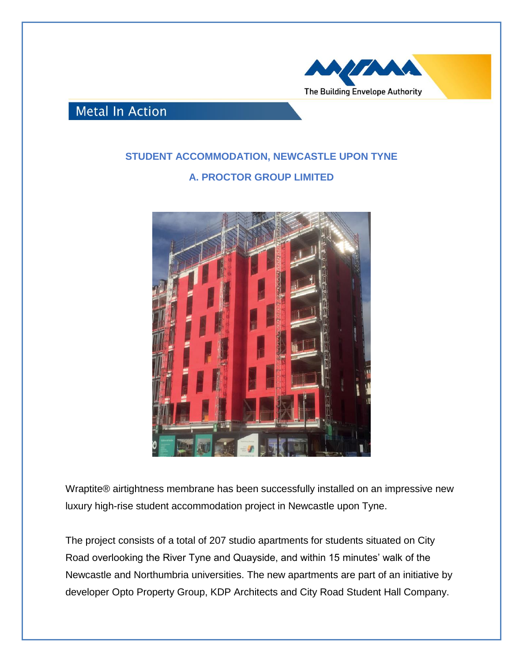

**Metal In Action** 

## **STUDENT ACCOMMODATION, NEWCASTLE UPON TYNE**

**A. PROCTOR GROUP LIMITED**



Wraptite® airtightness membrane has been successfully installed on an impressive new luxury high-rise student accommodation project in Newcastle upon Tyne.

The project consists of a total of 207 studio apartments for students situated on City Road overlooking the River Tyne and Quayside, and within 15 minutes' walk of the Newcastle and Northumbria universities. The new apartments are part of an initiative by developer Opto Property Group, KDP Architects and City Road Student Hall Company.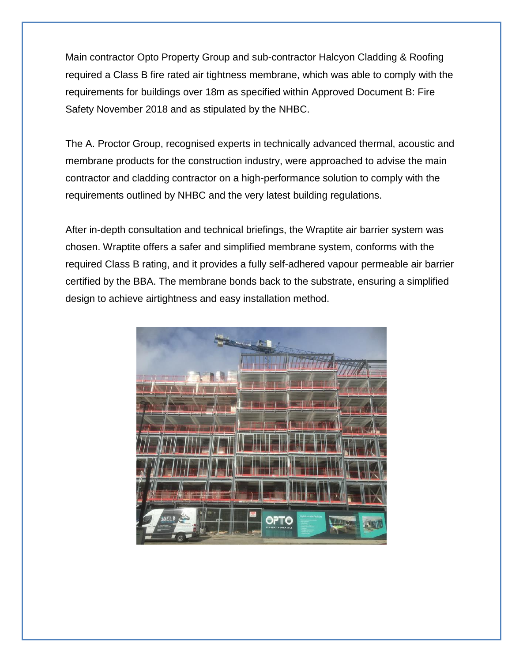Main contractor Opto Property Group and sub-contractor Halcyon Cladding & Roofing required a Class B fire rated air tightness membrane, which was able to comply with the requirements for buildings over 18m as specified within Approved Document B: Fire Safety November 2018 and as stipulated by the NHBC.

The A. Proctor Group, recognised experts in technically advanced thermal, acoustic and membrane products for the construction industry, were approached to advise the main contractor and cladding contractor on a high-performance solution to comply with the requirements outlined by NHBC and the very latest building regulations.

After in-depth consultation and technical briefings, the Wraptite air barrier system was chosen. Wraptite offers a safer and simplified membrane system, conforms with the required Class B rating, and it provides a fully self-adhered vapour permeable air barrier certified by the BBA. The membrane bonds back to the substrate, ensuring a simplified design to achieve airtightness and easy installation method.